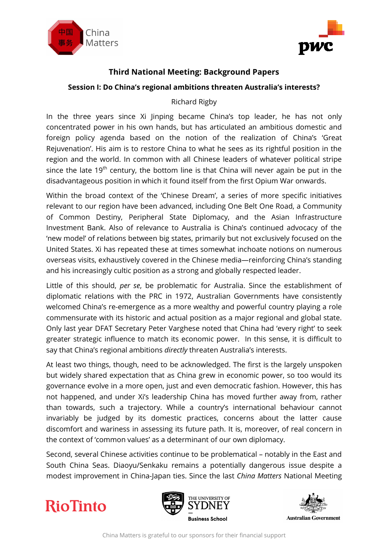



## **Third National Meeting: Background Papers**

#### **Session I: Do China's regional ambitions threaten Australia's interests?**

#### Richard Rigby

In the three years since Xi Jinping became China's top leader, he has not only concentrated power in his own hands, but has articulated an ambitious domestic and foreign policy agenda based on the notion of the realization of China's 'Great Rejuvenation'. His aim is to restore China to what he sees as its rightful position in the region and the world. In common with all Chinese leaders of whatever political stripe since the late 19<sup>th</sup> century, the bottom line is that China will never again be put in the disadvantageous position in which it found itself from the first Opium War onwards.

Within the broad context of the 'Chinese Dream', a series of more specific initiatives relevant to our region have been advanced, including One Belt One Road, a Community of Common Destiny, Peripheral State Diplomacy, and the Asian Infrastructure Investment Bank. Also of relevance to Australia is China's continued advocacy of the 'new model' of relations between big states, primarily but not exclusively focused on the United States. Xi has repeated these at times somewhat inchoate notions on numerous overseas visits, exhaustively covered in the Chinese media—reinforcing China's standing and his increasingly cultic position as a strong and globally respected leader.

Little of this should, *per se*, be problematic for Australia. Since the establishment of diplomatic relations with the PRC in 1972, Australian Governments have consistently welcomed China's re-emergence as a more wealthy and powerful country playing a role commensurate with its historic and actual position as a major regional and global state. Only last year DFAT Secretary Peter Varghese noted that China had 'every right' to seek greater strategic influence to match its economic power. In this sense, it is difficult to say that China's regional ambitions *directly* threaten Australia's interests.

At least two things, though, need to be acknowledged. The first is the largely unspoken but widely shared expectation that as China grew in economic power, so too would its governance evolve in a more open, just and even democratic fashion. However, this has not happened, and under Xi's leadership China has moved further away from, rather than towards, such a trajectory. While a country's international behaviour cannot invariably be judged by its domestic practices, concerns about the latter cause discomfort and wariness in assessing its future path. It is, moreover, of real concern in the context of 'common values' as a determinant of our own diplomacy.

Second, several Chinese activities continue to be problematical – notably in the East and South China Seas. Diaoyu/Senkaku remains a potentially dangerous issue despite a modest improvement in China-Japan ties. Since the last *China Matters* National Meeting





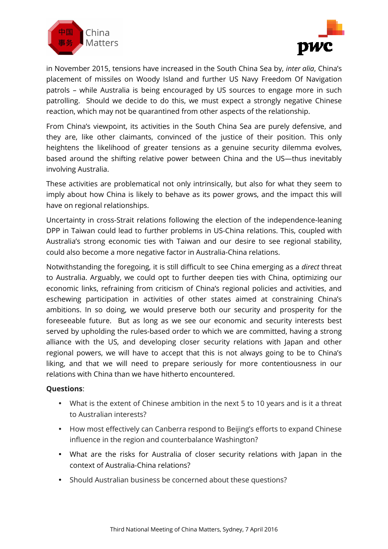



in November 2015, tensions have increased in the South China Sea by, *inter alia*, China's placement of missiles on Woody Island and further US Navy Freedom Of Navigation patrols – while Australia is being encouraged by US sources to engage more in such patrolling. Should we decide to do this, we must expect a strongly negative Chinese reaction, which may not be quarantined from other aspects of the relationship.

From China's viewpoint, its activities in the South China Sea are purely defensive, and they are, like other claimants, convinced of the justice of their position. This only heightens the likelihood of greater tensions as a genuine security dilemma evolves, based around the shifting relative power between China and the US—thus inevitably involving Australia.

These activities are problematical not only intrinsically, but also for what they seem to imply about how China is likely to behave as its power grows, and the impact this will have on regional relationships.

Uncertainty in cross-Strait relations following the election of the independence-leaning DPP in Taiwan could lead to further problems in US-China relations. This, coupled with Australia's strong economic ties with Taiwan and our desire to see regional stability, could also become a more negative factor in Australia-China relations.

Notwithstanding the foregoing, it is still difficult to see China emerging as a *direct* threat to Australia. Arguably, we could opt to further deepen ties with China, optimizing our economic links, refraining from criticism of China's regional policies and activities, and eschewing participation in activities of other states aimed at constraining China's ambitions. In so doing, we would preserve both our security and prosperity for the foreseeable future. But as long as we see our economic and security interests best served by upholding the rules-based order to which we are committed, having a strong alliance with the US, and developing closer security relations with Japan and other regional powers, we will have to accept that this is not always going to be to China's liking, and that we will need to prepare seriously for more contentiousness in our relations with China than we have hitherto encountered.

#### **Questions**:

- What is the extent of Chinese ambition in the next 5 to 10 years and is it a threat to Australian interests?
- How most effectively can Canberra respond to Beijing's efforts to expand Chinese influence in the region and counterbalance Washington?
- What are the risks for Australia of closer security relations with Japan in the context of Australia-China relations?
- Should Australian business be concerned about these questions?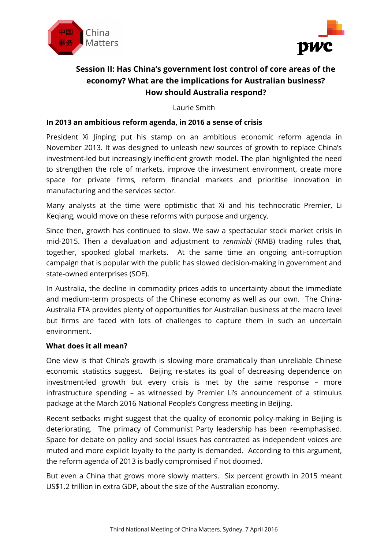



# **Session II: Has China's government lost control of core areas of the economy? What are the implications for Australian business? How should Australia respond?**

Laurie Smith

#### **In 2013 an ambitious reform agenda, in 2016 a sense of crisis**

President Xi Jinping put his stamp on an ambitious economic reform agenda in November 2013. It was designed to unleash new sources of growth to replace China's investment-led but increasingly inefficient growth model. The plan highlighted the need to strengthen the role of markets, improve the investment environment, create more space for private firms, reform financial markets and prioritise innovation in manufacturing and the services sector.

Many analysts at the time were optimistic that Xi and his technocratic Premier, Li Keqiang, would move on these reforms with purpose and urgency.

Since then, growth has continued to slow. We saw a spectacular stock market crisis in mid-2015. Then a devaluation and adjustment to *renminbi* (RMB) trading rules that, together, spooked global markets. At the same time an ongoing anti-corruption campaign that is popular with the public has slowed decision-making in government and state-owned enterprises (SOE).

In Australia, the decline in commodity prices adds to uncertainty about the immediate and medium-term prospects of the Chinese economy as well as our own. The China-Australia FTA provides plenty of opportunities for Australian business at the macro level but firms are faced with lots of challenges to capture them in such an uncertain environment.

#### **What does it all mean?**

One view is that China's growth is slowing more dramatically than unreliable Chinese economic statistics suggest. Beijing re-states its goal of decreasing dependence on investment-led growth but every crisis is met by the same response – more infrastructure spending – as witnessed by Premier Li's announcement of a stimulus package at the March 2016 National People's Congress meeting in Beijing.

Recent setbacks might suggest that the quality of economic policy-making in Beijing is deteriorating. The primacy of Communist Party leadership has been re-emphasised. Space for debate on policy and social issues has contracted as independent voices are muted and more explicit loyalty to the party is demanded. According to this argument, the reform agenda of 2013 is badly compromised if not doomed.

But even a China that grows more slowly matters. Six percent growth in 2015 meant US\$1.2 trillion in extra GDP, about the size of the Australian economy.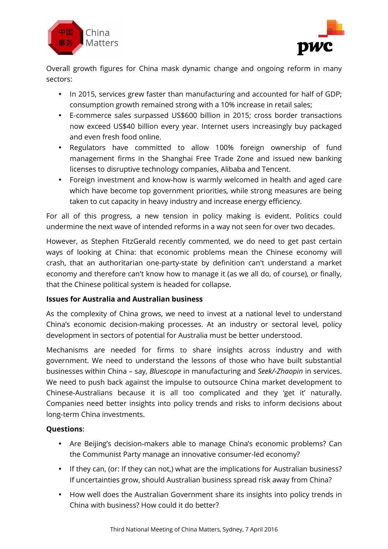



Overall growth figures for China mask dynamic change and ongoing reform in many sectors:

- In 2015, services grew faster than manufacturing and accounted for half of GDP; consumption growth remained strong with a 10% increase in retail sales;
- E-commerce sales surpassed US\$600 billion in 2015; cross border transactions now exceed US\$40 billion every year. Internet users increasingly buy packaged and even fresh food online.
- Regulators have committed to allow 100% foreign ownership of fund management firms in the Shanghai Free Trade Zone and issued new banking licenses to disruptive technology companies, Alibaba and Tencent.
- Foreign investment and know-how is warmly welcomed in health and aged care which have become top government priorities, while strong measures are being taken to cut capacity in heavy industry and increase energy efficiency.

For all of this progress, a new tension in policy making is evident. Politics could undermine the next wave of intended reforms in a way not seen for over two decades.

However, as Stephen FitzGerald recently commented, we do need to get past certain ways of looking at China: that economic problems mean the Chinese economy will crash, that an authoritarian one-party-state by definition can't understand a market economy and therefore can't know how to manage it (as we all do, of course), or finally, that the Chinese political system is headed for collapse.

## **Issues for Australia and Australian business**

As the complexity of China grows, we need to invest at a national level to understand China's economic decision-making processes. At an industry or sectoral level, policy development in sectors of potential for Australia must be better understood.

Mechanisms are needed for firms to share insights across industry and with government. We need to understand the lessons of those who have built substantial businesses within China – say, *Bluescope* in manufacturing and *Seek/-Zhaopin* in services. We need to push back against the impulse to outsource China market development to Chinese-Australians because it is all too complicated and they 'get it' naturally. Companies need better insights into policy trends and risks to inform decisions about long-term China investments.

# **Questions**:

- Are Beijing's decision-makers able to manage China's economic problems? Can the Communist Party manage an innovative consumer-led economy?
- If they can, (or: If they can not,) what are the implications for Australian business? If uncertainties grow, should Australian business spread risk away from China?
- How well does the Australian Government share its insights into policy trends in China with business? How could it do better?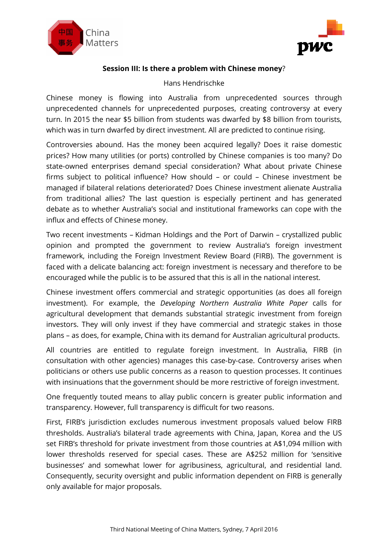



#### **Session III: Is there a problem with Chinese money**?

#### Hans Hendrischke

Chinese money is flowing into Australia from unprecedented sources through unprecedented channels for unprecedented purposes, creating controversy at every turn. In 2015 the near \$5 billion from students was dwarfed by \$8 billion from tourists, which was in turn dwarfed by direct investment. All are predicted to continue rising.

Controversies abound. Has the money been acquired legally? Does it raise domestic prices? How many utilities (or ports) controlled by Chinese companies is too many? Do state-owned enterprises demand special consideration? What about private Chinese firms subject to political influence? How should – or could – Chinese investment be managed if bilateral relations deteriorated? Does Chinese investment alienate Australia from traditional allies? The last question is especially pertinent and has generated debate as to whether Australia's social and institutional frameworks can cope with the influx and effects of Chinese money.

Two recent investments – Kidman Holdings and the Port of Darwin – crystallized public opinion and prompted the government to review Australia's foreign investment framework, including the Foreign Investment Review Board (FIRB). The government is faced with a delicate balancing act: foreign investment is necessary and therefore to be encouraged while the public is to be assured that this is all in the national interest.

Chinese investment offers commercial and strategic opportunities (as does all foreign investment). For example, the *Developing Northern Australia White Paper* calls for agricultural development that demands substantial strategic investment from foreign investors. They will only invest if they have commercial and strategic stakes in those plans – as does, for example, China with its demand for Australian agricultural products.

All countries are entitled to regulate foreign investment. In Australia, FIRB (in consultation with other agencies) manages this case-by-case. Controversy arises when politicians or others use public concerns as a reason to question processes. It continues with insinuations that the government should be more restrictive of foreign investment.

One frequently touted means to allay public concern is greater public information and transparency. However, full transparency is difficult for two reasons.

First, FIRB's jurisdiction excludes numerous investment proposals valued below FIRB thresholds. Australia's bilateral trade agreements with China, Japan, Korea and the US set FIRB's threshold for private investment from those countries at A\$1,094 million with lower thresholds reserved for special cases. These are A\$252 million for 'sensitive businesses' and somewhat lower for agribusiness, agricultural, and residential land. Consequently, security oversight and public information dependent on FIRB is generally only available for major proposals.